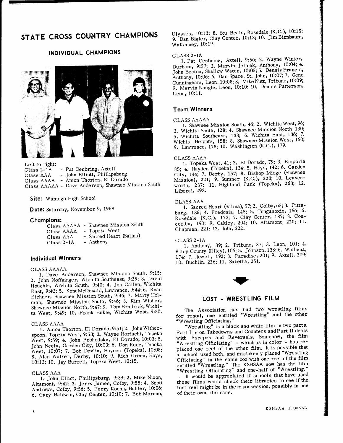# STATE CROSS COUNTRY CHAMPIONS

# INDIVIDUAL CHAMPIONS



Left to right: Class 2-1A - Pat Oenbring, Axtell<br>Class AAA - John Elliott, Phillips

- John Elliott, Phillipsburg Class AAAA - Amon Thorton, El Dorado

class AAAAA - Dave Anderson, shawnee Mission south

Site: Wamego High School

Date: Saturday, November 9, 1968

## Champions:

|              | Class AAAAA - Shawnee Mission South |
|--------------|-------------------------------------|
| Class AAAA   | - Topeka West                       |
| Class AAA    | - Sacred Heart (Salina)             |
| $Class 2-1A$ | - Anthony                           |

# lndividuql Winners

#### CLASS AAAAA

l. Dave Anderson, Shawnee Mission South, 9:15; 2. John Noffsinger, Wichita Southeast, 9:29; 3. David Houchin, Wichita South, 9:40; 4. Jon Callen, Wichita East, 9:43; 5. Kent McDonald, Lawrence, 9:44; 6. Ryan Eichner, Shawnee Mission South, 9:46; 7. Marty Holman, Shawnee Mission South, 9246; 8. Kim Wisher, Shawnee Mission North, 9:47; 9. Tom Bradrick, Wichita West, 9:49; 10. Frank Hukle, Wichita West, 9:50.

#### CLASS AAAA

1. Amon Thorton, El Dorado,9:51;2. JohnWitherspoon, Topeka West, 9:53; 3. Wayne Horiuchi, Topeka West, 9:59; 4. John Prohodsky, El Dorado, 10:03; 5. John Neely, Garden City, 10:03; 6. Don Rude, Topeka<br>West, 10:07; 7. Bob Devlin, Hayden (Topeka), 10:08; 8. Alan Walker, Derby, 10:10; 9. Rich Green, Hays, l0:13; f0. Jay Burrell, Topeka West, 10:15.

## CLASS AAA

1. John Elliot, Phillipsburg, 9:39; 2. Mike Nixon, Altamont, 9:42; 3. Jerry James, Colby, 9:55; 4. Scott Andrews, Colby, 9:56; 5. Perry Koehn, Buhler, 10:06; 6. Gary Baldwin, Clay Center, 10:10; 7. Bob Moreno,

Ulysses, 10:13; 8. Stu Beals, Rosedale (K.C.), 10:15; 9. Dan Bigler, Clay Center, 10:18; 10. Jim Birnbaum, WaKeeney, 10:19.

## CLASS 2-1A

1. Pat Oenbring, Axtell, 9:56; 2. Wayne Winter, Durham, 9:57; 3. Marvin Jelinek, Anthony, 10:04; 4. John Beaton, Shallow Water, 10:05; 5. Dennis Francis, Anthony, 10:06; 6. Dan Spare, St. John, 10:07; 7. Gene Cunningham, Leon, 10:08; 8. Mike Nutt, Tribune, 10:09; 9. Marvin Naugle, Leon, 10:10; 10. Dennis Patterson, Leon, 10:11.

### Teom W inners

#### CLASS AAAAA

1. Shawnee Mission South, 46; 2. Wichita West, 96; 3. Wichita South, 128; 4. Shawnee Mission North, 130; 5. Wichita Southeast, 133; 6. Wichita East, 136; 7. Wichita Heights, 158; 8. Shawnee Mission West, 160; 9. Lawrence, 178; 10. Washington (K.C.), 179.

#### CLASS AAAA

1. Topeka West, 41; 2. El Dorado, 79; 3. Emporia 85; 4. Hayden (Topeka), 134; 5. Hays, 142; 6. Garden City, 144; 7. Derby, 157; 8. Bishop Miege (Shawnee) Mission), 221; 9. Sumner (K.C.), 223; 10. Leavenworth, 237; 11. Highland Park (Topeka), 263; 12. Liberal, 293.

#### CLASS AAA

1. Sacred Heart (Salina), 57; 2. Colby, 65; 3. Pittshurg, 136; 4. Fredonia, 145; 5. Tonganoxie, 166; 6. Rosedale (K.C.), 173; 7. Clay Center, 187; 8. Concordia, 190; 9. Oakley, 204; 10. Altamont, 220; 11. Chapman, 22I; 12, lola, 222,

## CLASS z-LA

1. Anthony, 39; 2. Tribune, 87; 3. Leon, 101; 4. Riley County (Riley), 106; 5. Johnson, 138; 6. Wathena, 174; 7. Jewell, 192; 8. Paradise, 201; 9. Axtell, 209; 10. Bucklin, 226; 11. Sabetha, 251.



## LOST - WRESTLING FILM

The Association has had two wrestling films<br>for rental, one entitled "Wrestling" and the other 'Wrestling Officiating."

'Wrestling" is a black ano white film in two parts' Part I is on Takedowns and Counters and Part II deals with Escapes and Reversals. Somehow, the film 'Wrestling Officiating" - which is in color - has replaced one reel of the other film. It is possible that a school used both, and mistakenly placed 'Wrestling Officiating' in the same box with one reel of the film entitled "Wrestling." The KSHSAA now has the film "Wrestling Officiating" and one-half of "Wrestling.

It would be appreciated if schools that have used these films would check their libraries to see if the lost reel might be in their possession, possibly in one of their own film cans.